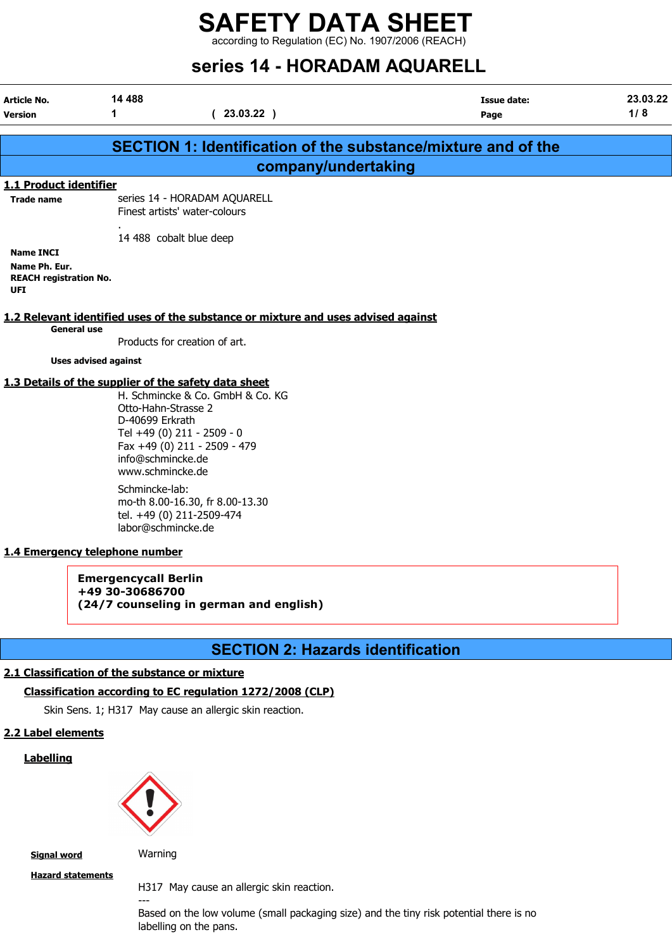according to Regulation (EC) No. 1907/2006 (REACH)

## SATIAS 14 - HORADAM AOUARELL

|                                                                                          |                                                                                                                                                                           | SCHCS IT - HUNADAM AQUANLLL                                                                                                                                                                                                                                       |                                                                      |                 |
|------------------------------------------------------------------------------------------|---------------------------------------------------------------------------------------------------------------------------------------------------------------------------|-------------------------------------------------------------------------------------------------------------------------------------------------------------------------------------------------------------------------------------------------------------------|----------------------------------------------------------------------|-----------------|
| Article No.<br><b>Version</b>                                                            | 14 488<br>1                                                                                                                                                               | (23.03.22)                                                                                                                                                                                                                                                        | <b>Issue date:</b><br>Page                                           | 23.03.22<br>1/8 |
|                                                                                          |                                                                                                                                                                           |                                                                                                                                                                                                                                                                   | <b>SECTION 1: Identification of the substance/mixture and of the</b> |                 |
|                                                                                          |                                                                                                                                                                           | company/undertaking                                                                                                                                                                                                                                               |                                                                      |                 |
| 1.1 Product identifier                                                                   |                                                                                                                                                                           |                                                                                                                                                                                                                                                                   |                                                                      |                 |
| <b>Trade name</b>                                                                        |                                                                                                                                                                           | series 14 - HORADAM AQUARELL<br>Finest artists' water-colours                                                                                                                                                                                                     |                                                                      |                 |
| <b>Name INCI</b><br>Name Ph. Eur.<br><b>REACH registration No.</b><br><b>UFI</b>         |                                                                                                                                                                           | 14 488 cobalt blue deep                                                                                                                                                                                                                                           |                                                                      |                 |
| <b>General use</b>                                                                       |                                                                                                                                                                           | 1.2 Relevant identified uses of the substance or mixture and uses advised against<br>Products for creation of art.                                                                                                                                                |                                                                      |                 |
| <b>Uses advised against</b>                                                              |                                                                                                                                                                           |                                                                                                                                                                                                                                                                   |                                                                      |                 |
| 1.4 Emergency telephone number                                                           | Otto-Hahn-Strasse 2<br>D-40699 Erkrath<br>info@schmincke.de<br>www.schmincke.de<br>Schmincke-lab:<br>labor@schmincke.de<br><b>Emergencycall Berlin</b><br>+49 30-30686700 | 1.3 Details of the supplier of the safety data sheet<br>H. Schmincke & Co. GmbH & Co. KG<br>Tel +49 (0) 211 - 2509 - 0<br>Fax +49 (0) 211 - 2509 - 479<br>mo-th 8.00-16.30, fr 8.00-13.30<br>tel. +49 (0) 211-2509-474<br>(24/7 counseling in german and english) |                                                                      |                 |
|                                                                                          |                                                                                                                                                                           | <b>SECTION 2: Hazards identification</b>                                                                                                                                                                                                                          |                                                                      |                 |
| 2.1 Classification of the substance or mixture<br>2.2 Label elements<br><b>Labelling</b> |                                                                                                                                                                           | Classification according to EC regulation 1272/2008 (CLP)<br>Skin Sens. 1; H317 May cause an allergic skin reaction.                                                                                                                                              |                                                                      |                 |

**Signal word** Warning

---

Hazard statements

H317 May cause an allergic skin reaction.

Based on the low volume (small packaging size) and the tiny risk potential there is no labelling on the pans.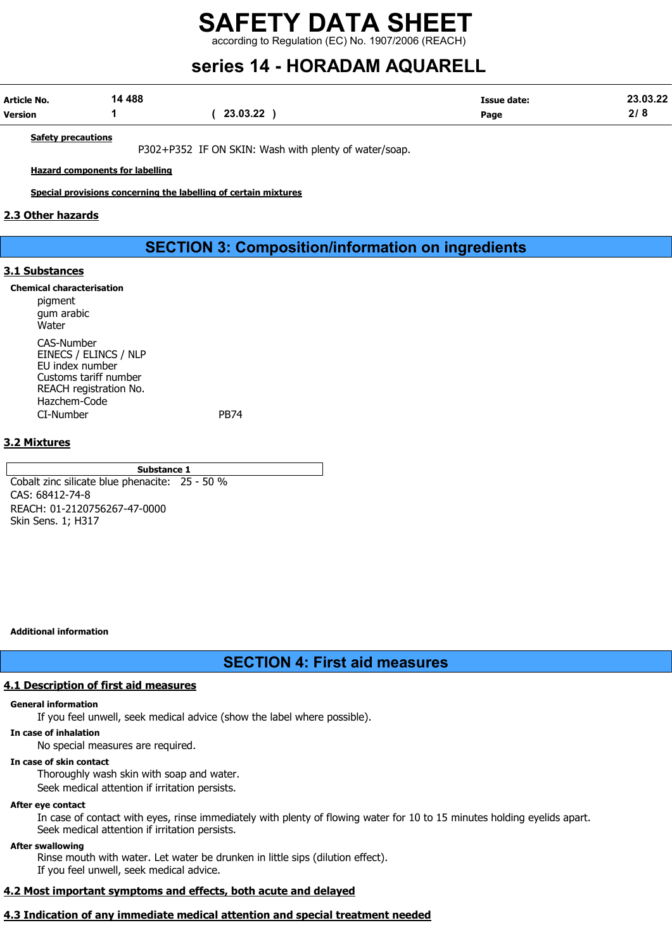according to Regulation (EC) No. 1907/2006 (REACH)

## series 14 - HORADAM AQUARELL

| Article No. | 14 488 |          | <b>Issue date:</b> | 23.03.22 |
|-------------|--------|----------|--------------------|----------|
| Version     |        | 23.03.22 | Page               |          |

Safety precautions

P302+P352 IF ON SKIN: Wash with plenty of water/soap.

Hazard components for labelling

Special provisions concerning the labelling of certain mixtures

#### 2.3 Other hazards

#### SECTION 3: Composition/information on ingredients

#### 3.1 Substances

Chemical characterisation

pigment gum arabic Water CAS-Number EINECS / ELINCS / NLP EU index number Customs tariff number REACH registration No. Hazchem-Code CI-Number PB74

#### 3.2 Mixtures

Substance 1

Cobalt zinc silicate blue phenacite: 25 - 50 % CAS: 68412-74-8 REACH: 01-2120756267-47-0000 Skin Sens. 1; H317

Additional information

#### SECTION 4: First aid measures

#### 4.1 Description of first aid measures

#### General information

If you feel unwell, seek medical advice (show the label where possible).

#### In case of inhalation

No special measures are required.

#### In case of skin contact

Thoroughly wash skin with soap and water.

Seek medical attention if irritation persists.

#### After eye contact

In case of contact with eyes, rinse immediately with plenty of flowing water for 10 to 15 minutes holding eyelids apart. Seek medical attention if irritation persists.

#### After swallowing

Rinse mouth with water. Let water be drunken in little sips (dilution effect). If you feel unwell, seek medical advice.

#### 4.2 Most important symptoms and effects, both acute and delayed

#### 4.3 Indication of any immediate medical attention and special treatment needed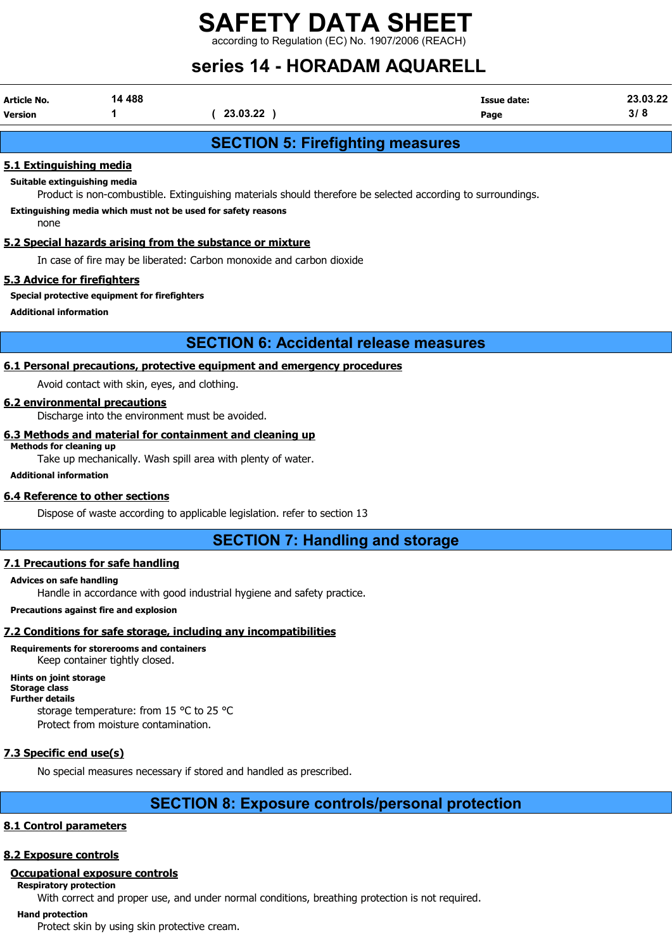$\lim$  to Regulation (EC) No. 1907/2006 (REACH)

### series 14 - HORADAM AQUARELL

| Article No.    | 14 488 |          | Issue date: | .03.22 |
|----------------|--------|----------|-------------|--------|
| <b>Version</b> |        | 23.03.22 | Page        |        |

#### SECTION 5: Firefighting measures

#### 5.1 Extinguishing media

Suitable extinguishing media

Product is non-combustible. Extinguishing materials should therefore be selected according to surroundings.

Extinguishing media which must not be used for safety reasons

none

#### 5.2 Special hazards arising from the substance or mixture

In case of fire may be liberated: Carbon monoxide and carbon dioxide

#### 5.3 Advice for firefighters

#### Special protective equipment for firefighters

Additional information

#### SECTION 6: Accidental release measures

#### 6.1 Personal precautions, protective equipment and emergency procedures

Avoid contact with skin, eyes, and clothing.

#### 6.2 environmental precautions

Discharge into the environment must be avoided.

#### 6.3 Methods and material for containment and cleaning up Methods for cleaning up

Take up mechanically. Wash spill area with plenty of water.

Additional information

#### 6.4 Reference to other sections

Dispose of waste according to applicable legislation. refer to section 13

#### SECTION 7: Handling and storage

#### 7.1 Precautions for safe handling

#### Advices on safe handling

Handle in accordance with good industrial hygiene and safety practice.

#### Precautions against fire and explosion

#### 7.2 Conditions for safe storage, including any incompatibilities

Requirements for storerooms and containers Keep container tightly closed.

Hints on joint storage Storage class

#### Further details

storage temperature: from 15 °C to 25 °C Protect from moisture contamination.

#### 7.3 Specific end use(s)

No special measures necessary if stored and handled as prescribed.

### SECTION 8: Exposure controls/personal protection

#### 8.1 Control parameters

#### 8.2 Exposure controls

#### Occupational exposure controls

Respiratory protection

With correct and proper use, and under normal conditions, breathing protection is not required.

#### Hand protection

Protect skin by using skin protective cream.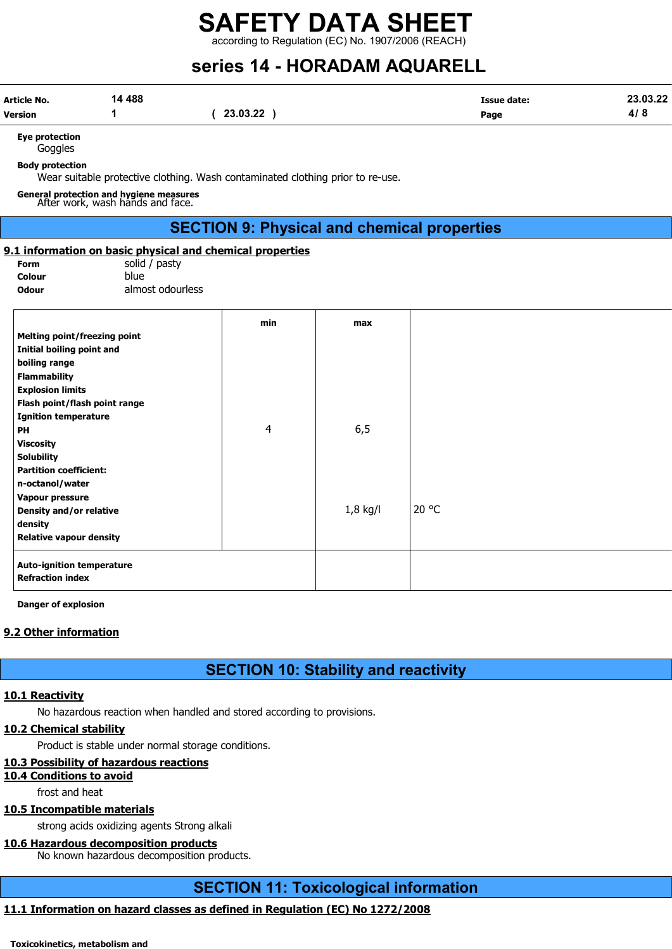according to Regulation (EC) No. 1907/2006 (REACH)

## series 14 - HORADAM AQUARELL

| Article No. | 14 488 |          | Issue date: | 23.03.22 |
|-------------|--------|----------|-------------|----------|
| Version     |        | 23.03.22 | Page        | , ,      |

Eye protection

**Goggles** 

Body protection

Wear suitable protective clothing. Wash contaminated clothing prior to re-use.

General protection and hygiene measures After work, wash hands and face.

#### SECTION 9: Physical and chemical properties

#### 9.1 information on basic physical and chemical properties

Form solid / pasty Colour blue Odour almost odourless

|                                     | min | max        |       |
|-------------------------------------|-----|------------|-------|
| <b>Melting point/freezing point</b> |     |            |       |
| Initial boiling point and           |     |            |       |
| boiling range                       |     |            |       |
| <b>Flammability</b>                 |     |            |       |
| <b>Explosion limits</b>             |     |            |       |
| Flash point/flash point range       |     |            |       |
| <b>Ignition temperature</b>         |     |            |       |
| PH                                  | 4   | 6,5        |       |
| <b>Viscosity</b>                    |     |            |       |
| <b>Solubility</b>                   |     |            |       |
| <b>Partition coefficient:</b>       |     |            |       |
| n-octanol/water                     |     |            |       |
| Vapour pressure                     |     |            |       |
| Density and/or relative             |     | $1,8$ kg/l | 20 °C |
| density                             |     |            |       |
| <b>Relative vapour density</b>      |     |            |       |
| <b>Auto-ignition temperature</b>    |     |            |       |
| <b>Refraction index</b>             |     |            |       |

Danger of explosion

#### 9.2 Other information

### SECTION 10: Stability and reactivity

#### 10.1 Reactivity

No hazardous reaction when handled and stored according to provisions.

#### 10.2 Chemical stability

Product is stable under normal storage conditions.

#### 10.3 Possibility of hazardous reactions

#### 10.4 Conditions to avoid

frost and heat

#### 10.5 Incompatible materials

strong acids oxidizing agents Strong alkali

#### 10.6 Hazardous decomposition products

No known hazardous decomposition products.

#### SECTION 11: Toxicological information

#### 11.1 Information on hazard classes as defined in Regulation (EC) No 1272/2008

Toxicokinetics, metabolism and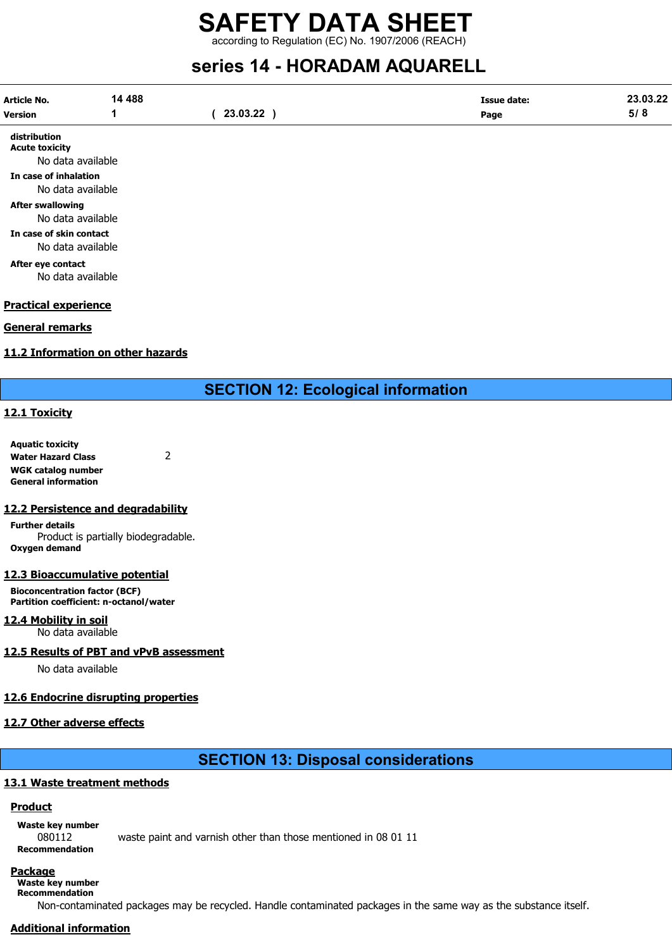according to Regulation (EC) No. 1907/2006 (REACH)

### series 14 - HORADAM AQUARELL

| Article No.<br>Version                | 14 4 8 8 | 23.03.22 | Issue date:<br>Page | 23.03.22<br>5/8 |
|---------------------------------------|----------|----------|---------------------|-----------------|
| distribution<br><b>Acute toxicity</b> |          |          |                     |                 |

No data available

In case of inhalation

#### No data available After swallowing

No data available In case of skin contact

No data available

After eye contact No data available

#### Practical experience

#### General remarks

#### 11.2 Information on other hazards

SECTION 12: Ecological information

#### 12.1 Toxicity

Aquatic toxicity Water Hazard Class 2 WGK catalog number General information

#### 12.2 Persistence and degradability

Further details Product is partially biodegradable. Oxygen demand

#### 12.3 Bioaccumulative potential

Bioconcentration factor (BCF) Partition coefficient: n-octanol/water

#### 12.4 Mobility in soil

No data available

#### 12.5 Results of PBT and vPvB assessment

No data available

#### 12.6 Endocrine disrupting properties

#### 12.7 Other adverse effects

### SECTION 13: Disposal considerations

#### 13.1 Waste treatment methods

#### **Product**

Waste key number

080112 waste paint and varnish other than those mentioned in 08 01 11 Recommendation

### Package

Waste key number Recommendation

Non-contaminated packages may be recycled. Handle contaminated packages in the same way as the substance itself.

#### Additional information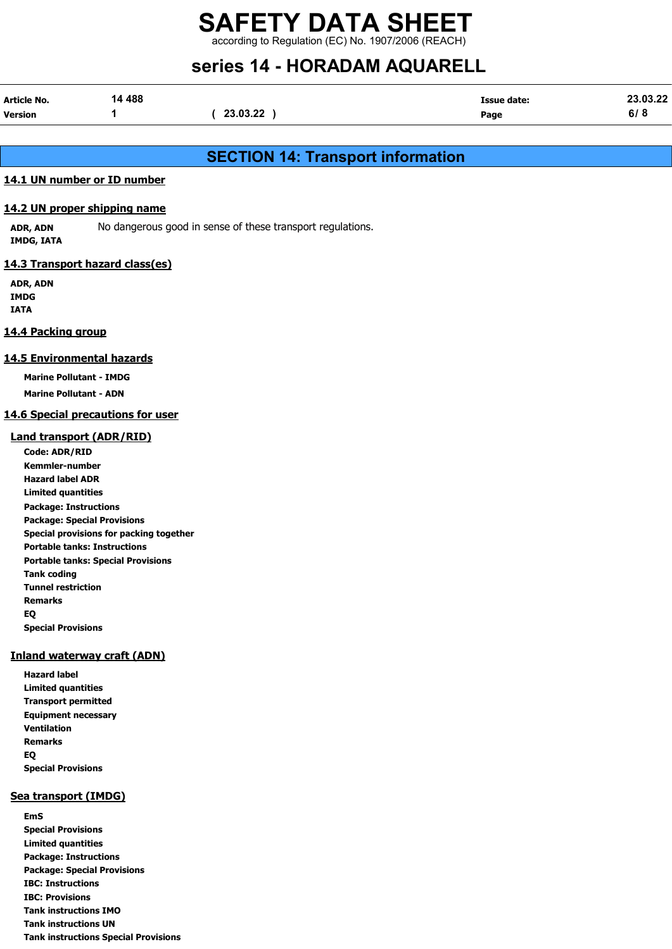according to Regulation (EC) No. 1907/2006 (REACH)

### series 14 - HORADAM AQUARELL

| Article No.    | 14 488 |          | Issue date: | 23.03.22 |
|----------------|--------|----------|-------------|----------|
| <b>Version</b> |        | 23.03.22 | Page        | 6/8      |

#### SECTION 14: Transport information

#### 14.1 UN number or ID number

#### 14.2 UN proper shipping name

ADR, ADN No dangerous good in sense of these transport regulations. IMDG, IATA

#### 14.3 Transport hazard class(es)

ADR, ADN IMDG IATA

#### 14.4 Packing group

#### 14.5 Environmental hazards

Marine Pollutant - IMDG

Marine Pollutant - ADN

#### 14.6 Special precautions for user

#### Land transport (ADR/RID)

Code: ADR/RID Kemmler-number Hazard label ADR Limited quantities Package: Instructions Package: Special Provisions Special provisions for packing together Portable tanks: Instructions Portable tanks: Special Provisions Tank coding Tunnel restriction Remarks EQ Special Provisions

#### Inland waterway craft (ADN)

Hazard label Limited quantities Transport permitted Equipment necessary Ventilation Remarks EQ Special Provisions

#### Sea transport (IMDG)

EmS Special Provisions Limited quantities Package: Instructions Package: Special Provisions IBC: Instructions IBC: Provisions Tank instructions IMO Tank instructions UN Tank instructions Special Provisions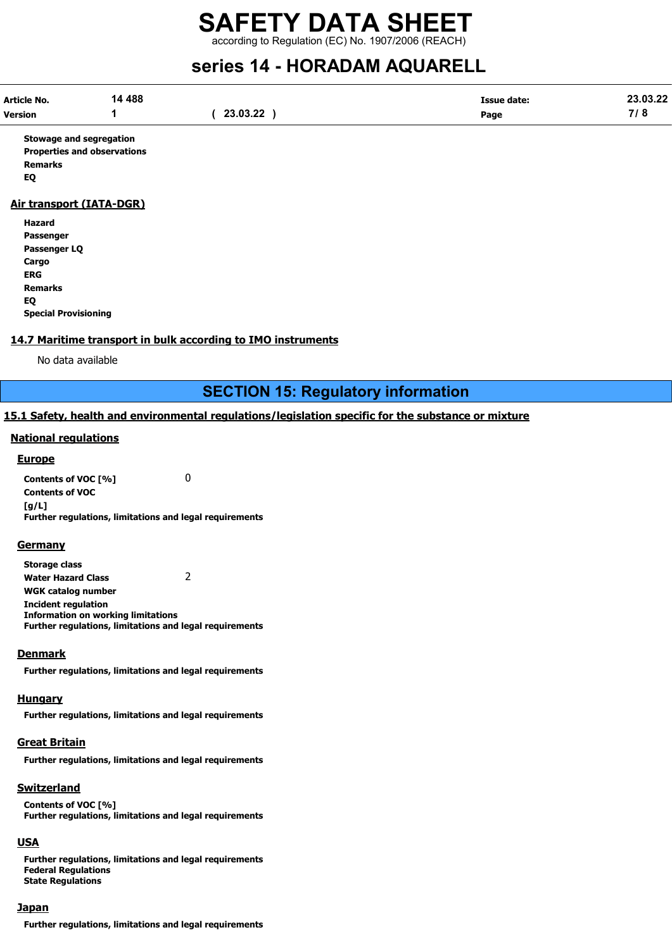### SAFETY DATA SHEET according to Regulation (EC) No. 1907/2006 (REACH)

## series 14 - HORADAM AQUARELL

| Article No.    | 14 488 |          | Issue date:<br>$\begin{array}{cccccccccccccc} \multicolumn{4}{c}{} & \multicolumn{4}{c}{} & \multicolumn{4}{c}{} & \multicolumn{4}{c}{} & \multicolumn{4}{c}{} & \multicolumn{4}{c}{} & \multicolumn{4}{c}{} & \multicolumn{4}{c}{} & \multicolumn{4}{c}{} & \multicolumn{4}{c}{} & \multicolumn{4}{c}{} & \multicolumn{4}{c}{} & \multicolumn{4}{c}{} & \multicolumn{4}{c}{} & \multicolumn{4}{c}{} & \multicolumn{4}{c}{} & \multicolumn{4}{c}{} & \multicolumn{4}{c}{} & \multicolumn{4}{c}{} & \$ | 23.03.22                          |
|----------------|--------|----------|-------------------------------------------------------------------------------------------------------------------------------------------------------------------------------------------------------------------------------------------------------------------------------------------------------------------------------------------------------------------------------------------------------------------------------------------------------------------------------------------------------|-----------------------------------|
| <b>Version</b> |        | 23.03.22 | Page                                                                                                                                                                                                                                                                                                                                                                                                                                                                                                  | $\rightarrow$ $\rightarrow$<br>O. |

Stowage and segregation Properties and observations Remarks EQ

#### Air transport (IATA-DGR)

| Hazard                      |
|-----------------------------|
| Passenger                   |
| Passenger LQ                |
| Cargo                       |
| ERG                         |
| <b>Remarks</b>              |
| EQ                          |
| <b>Special Provisioning</b> |

#### 14.7 Maritime transport in bulk according to IMO instruments

No data available

SECTION 15: Regulatory information

#### 15.1 Safety, health and environmental regulations/legislation specific for the substance or mixture

#### National regulations

#### **Europe**

Contents of VOC [%] 0 Contents of VOC [g/L] Further regulations, limitations and legal requirements

#### **Germany**

Storage class Water Hazard Class 2 WGK catalog number Incident regulation Information on working limitations Further regulations, limitations and legal requirements

#### **Denmark**

Further regulations, limitations and legal requirements

#### Hungary

Further regulations, limitations and legal requirements

#### Great Britain

Further regulations, limitations and legal requirements

#### Switzerland

Contents of VOC [%] Further regulations, limitations and legal requirements

#### **USA**

Further regulations, limitations and legal requirements Federal Regulations State Regulations

#### **Japan**

Further regulations, limitations and legal requirements